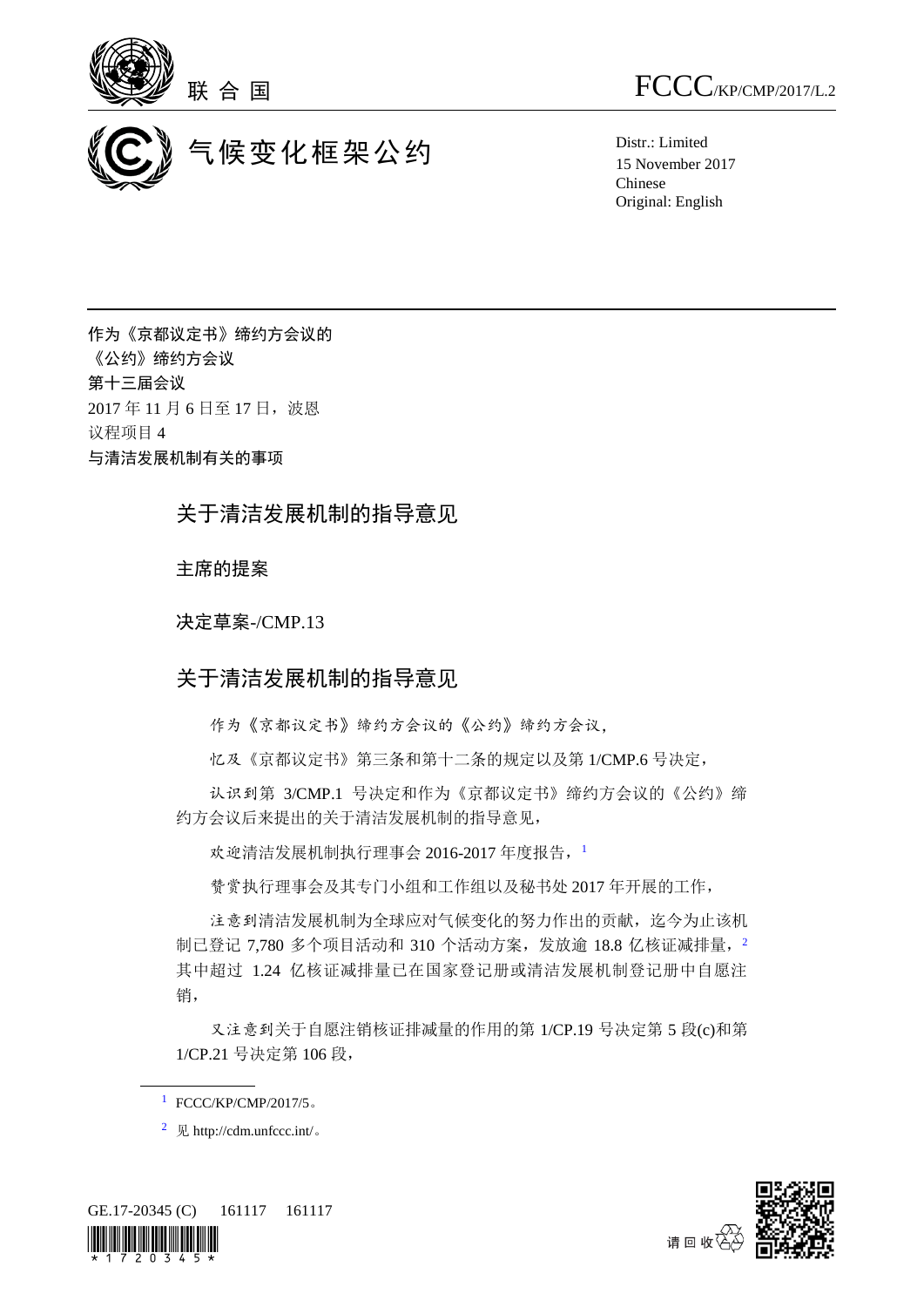



联 合 国  $\text{FCCC}_{\text{/KP/CMP/2017/L.2}}$ 

15 November 2017 Chinese Original: English

作为《京都议定书》缔约方会议的 《公约》缔约方会议 第十三届会议 2017年11月6日至17日,波恩 议程项目 4 与清洁发展机制有关的事项

## 关于清洁发展机制的指导意见

主席的提案

决定草案-/CMP.13

## 关于清洁发展机制的指导意见

作为《京都议定书》缔约方会议的《公约》缔约方会议,

忆及《京都议定书》第三条和第十二条的规定以及第 1/CMP.6 号决定,

认识到第 3/CMP.1 号决定和作为《京都议定书》缔约方会议的《公约》缔 约方会议后来提出的关于清洁发展机制的指导意见,

欢迎清洁发展机制执行理事会 2016-2017 年度报告, 1

赞赏执行理事会及其专门小组和工作组以及秘书处 2017 年开展的工作,

注意到清洁发展机制为全球应对气候变化的努力作出的贡献,迄今为止该机 制已登记 7,780 多个项目活动和 310 个活动方案,发放逾 18.8 亿核证减排量, 2 其中超过 1.24 亿核证减排量已在国家登记册或清洁发展机制登记册中自愿注 销,

又注意到关于自愿注销核证排减量的作用的第 1/CP.19 号决定第 5 段(c)和第 1/CP.21 号决定第 106 段,

<sup>&</sup>lt;sup>2</sup> 见 http://cdm.unfccc.int/。





 $1$  FCCC/KP/CMP/2017/5。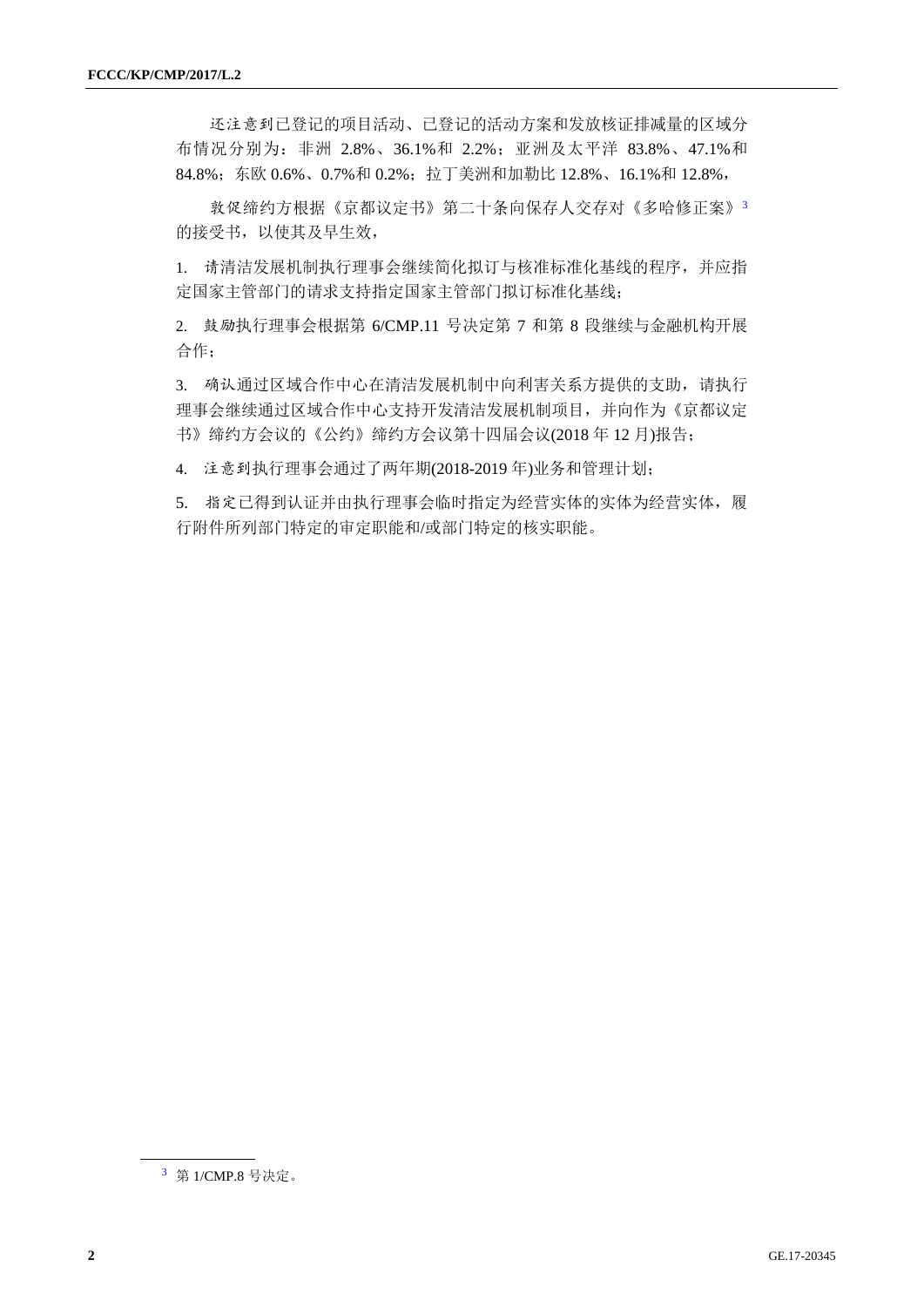还注意到已登记的项目活动、已登记的活动方案和发放核证排减量的区域分 布情况分别为:非洲 2.8%、36.1%和 2.2%;亚洲及太平洋 83.8%、47.1%和 84.8%;东欧 0.6%、0.7%和 0.2%;拉丁美洲和加勒比 12.8%、16.1%和 12.8%,

敦促缔约方根据《京都议定书》第二十条向保存人交存对《多哈修正案》<sup>3</sup> 的接受书,以使其及早生效,

1. 请清洁发展机制执行理事会继续简化拟订与核准标准化基线的程序,并应指 定国家主管部门的请求支持指定国家主管部门拟订标准化基线;

2. 鼓励执行理事会根据第 6/CMP.11 号决定第 7 和第 8 段继续与金融机构开展 合作;

3. 确认通过区域合作中心在清洁发展机制中向利害关系方提供的支助,请执行 理事会继续通过区域合作中心支持开发清洁发展机制项目,并向作为《京都议定 书》缔约方会议的《公约》缔约方会议第十四届会议(2018 年 12 月)报告;

4. 注意到执行理事会通过了两年期(2018-2019 年)业务和管理计划;

5. 指定已得到认证并由执行理事会临时指定为经营实体的实体为经营实体,履 行附件所列部门特定的审定职能和/或部门特定的核实职能。

<sup>3</sup> 第 1/CMP.8 号决定。